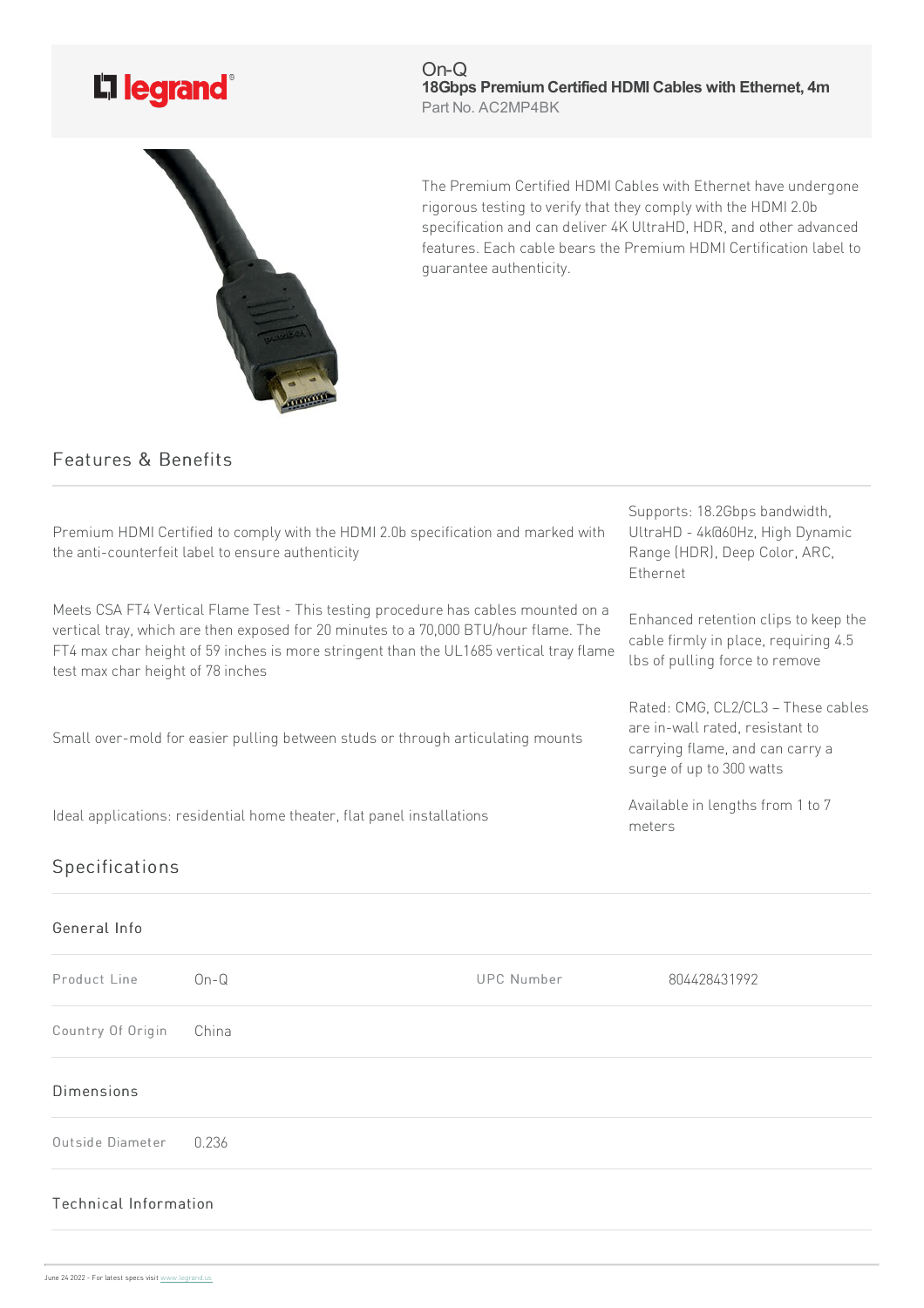

On-Q **18Gbps PremiumCertified HDMI Cables with Ethernet, 4m** Part No. AC2MP4BK



The Premium Certified HDMI Cables with Ethernet have undergone rigorous testing to verify that they comply with the HDMI 2.0b specification and can deliver 4K UltraHD, HDR, and other advanced features. Each cable bears the Premium HDMI Certification label to guarantee authenticity.

## Features & Benefits

| Premium HDMI Certified to comply with the HDMI 2.0b specification and marked with<br>the anti-counterfeit label to ensure authenticity                                                                                                                                                                    | Supports: 18.2Gbps bandwidth,<br>UltraHD - 4k@60Hz, High Dynamic<br>Range (HDR), Deep Color, ARC,<br>Ethernet                        |
|-----------------------------------------------------------------------------------------------------------------------------------------------------------------------------------------------------------------------------------------------------------------------------------------------------------|--------------------------------------------------------------------------------------------------------------------------------------|
| Meets CSA FT4 Vertical Flame Test - This testing procedure has cables mounted on a<br>vertical tray, which are then exposed for 20 minutes to a 70,000 BTU/hour flame. The<br>FT4 max char height of 59 inches is more stringent than the UL1685 vertical tray flame<br>test max char height of 78 inches | Enhanced retention clips to keep the<br>cable firmly in place, requiring 4.5<br>lbs of pulling force to remove                       |
| Small over-mold for easier pulling between studs or through articulating mounts                                                                                                                                                                                                                           | Rated: CMG, CL2/CL3 - These cables<br>are in-wall rated, resistant to<br>carrying flame, and can carry a<br>surge of up to 300 watts |
| Ideal applications: residential home theater, flat panel installations                                                                                                                                                                                                                                    | Available in lengths from 1 to 7<br>meters                                                                                           |

## Specifications

| General Info          |        |                   |              |  |  |
|-----------------------|--------|-------------------|--------------|--|--|
| Product Line          | $On-Q$ | <b>UPC Number</b> | 804428431992 |  |  |
| Country Of Origin     | China  |                   |              |  |  |
| <b>Dimensions</b>     |        |                   |              |  |  |
| Outside Diameter      | 0.236  |                   |              |  |  |
| Technical Information |        |                   |              |  |  |